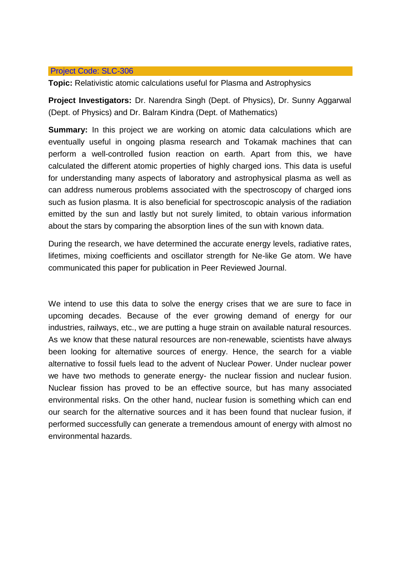## Project Code: [SLC-306](http://slc.du.ac.in/completed-project.php#Project6)

**Topic:** Relativistic atomic calculations useful for Plasma and Astrophysics

**Project Investigators:** Dr. Narendra Singh (Dept. of Physics), Dr. Sunny Aggarwal (Dept. of Physics) and Dr. Balram Kindra (Dept. of Mathematics)

**Summary:** In this project we are working on atomic data calculations which are eventually useful in ongoing plasma research and Tokamak machines that can perform a well-controlled fusion reaction on earth. Apart from this, we have calculated the different atomic properties of highly charged ions. This data is useful for understanding many aspects of laboratory and astrophysical plasma as well as can address numerous problems associated with the spectroscopy of charged ions such as fusion plasma. It is also beneficial for spectroscopic analysis of the radiation emitted by the sun and lastly but not surely limited, to obtain various information about the stars by comparing the absorption lines of the sun with known data.

During the research, we have determined the accurate energy levels, radiative rates, lifetimes, mixing coefficients and oscillator strength for Ne-like Ge atom. We have communicated this paper for publication in Peer Reviewed Journal.

We intend to use this data to solve the energy crises that we are sure to face in upcoming decades. Because of the ever growing demand of energy for our industries, railways, etc., we are putting a huge strain on available natural resources. As we know that these natural resources are non-renewable, scientists have always been looking for alternative sources of energy. Hence, the search for a viable alternative to fossil fuels lead to the advent of Nuclear Power. Under nuclear power we have two methods to generate energy- the nuclear fission and nuclear fusion. Nuclear fission has proved to be an effective source, but has many associated environmental risks. On the other hand, nuclear fusion is something which can end our search for the alternative sources and it has been found that nuclear fusion, if performed successfully can generate a tremendous amount of energy with almost no environmental hazards.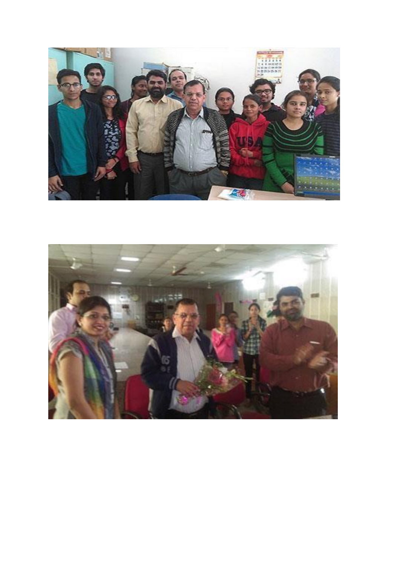